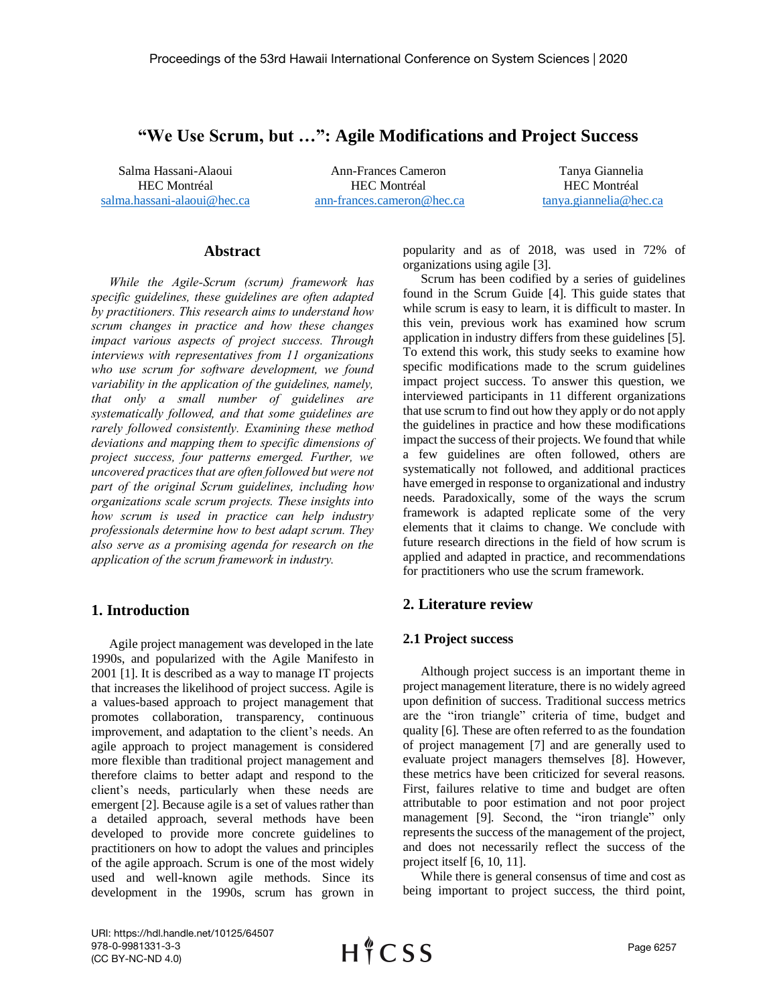# **"We Use Scrum, but …": Agile Modifications and Project Success**

Salma Hassani-Alaoui HEC Montréal [salma.hassani-alaoui@hec.ca](mailto:salma.hassani-alaoui@hec.ca)

Ann-Frances Cameron HEC Montréal [ann-frances.cameron@hec.ca](mailto:ann-frances.cameron@hec.ca)

Tanya Giannelia HEC Montréal [tanya.giannelia@hec.ca](mailto:tanya.giannelia@hec.ca)

# **Abstract**

*While the Agile-Scrum (scrum) framework has specific guidelines, these guidelines are often adapted by practitioners. This research aims to understand how scrum changes in practice and how these changes impact various aspects of project success. Through interviews with representatives from 11 organizations who use scrum for software development, we found variability in the application of the guidelines, namely, that only a small number of guidelines are systematically followed, and that some guidelines are rarely followed consistently. Examining these method deviations and mapping them to specific dimensions of project success, four patterns emerged. Further, we uncovered practices that are often followed but were not part of the original Scrum guidelines, including how organizations scale scrum projects. These insights into how scrum is used in practice can help industry professionals determine how to best adapt scrum. They also serve as a promising agenda for research on the application of the scrum framework in industry.*

## **1. Introduction**

Agile project management was developed in the late 1990s, and popularized with the Agile Manifesto in 2001 [1]. It is described as a way to manage IT projects that increases the likelihood of project success. Agile is a values-based approach to project management that promotes collaboration, transparency, continuous improvement, and adaptation to the client's needs. An agile approach to project management is considered more flexible than traditional project management and therefore claims to better adapt and respond to the client's needs, particularly when these needs are emergent [2]. Because agile is a set of values rather than a detailed approach, several methods have been developed to provide more concrete guidelines to practitioners on how to adopt the values and principles of the agile approach. Scrum is one of the most widely used and well-known agile methods. Since its development in the 1990s, scrum has grown in popularity and as of 2018, was used in 72% of organizations using agile [3].

Scrum has been codified by a series of guidelines found in the Scrum Guide [4]. This guide states that while scrum is easy to learn, it is difficult to master. In this vein, previous work has examined how scrum application in industry differs from these guidelines [5]. To extend this work, this study seeks to examine how specific modifications made to the scrum guidelines impact project success. To answer this question, we interviewed participants in 11 different organizations that use scrum to find out how they apply or do not apply the guidelines in practice and how these modifications impact the success of their projects. We found that while a few guidelines are often followed, others are systematically not followed, and additional practices have emerged in response to organizational and industry needs. Paradoxically, some of the ways the scrum framework is adapted replicate some of the very elements that it claims to change. We conclude with future research directions in the field of how scrum is applied and adapted in practice, and recommendations for practitioners who use the scrum framework.

#### **2. Literature review**

#### **2.1 Project success**

Although project success is an important theme in project management literature, there is no widely agreed upon definition of success. Traditional success metrics are the "iron triangle" criteria of time, budget and quality [6]. These are often referred to as the foundation of project management [7] and are generally used to evaluate project managers themselves [8]. However, these metrics have been criticized for several reasons. First, failures relative to time and budget are often attributable to poor estimation and not poor project management [9]. Second, the "iron triangle" only represents the success of the management of the project, and does not necessarily reflect the success of the project itself [6, 10, 11].

While there is general consensus of time and cost as being important to project success, the third point,

URI: https://hdl.handle.net/10125/64507 978-0-9981331-3-3 (CC BY-NC-ND 4.0)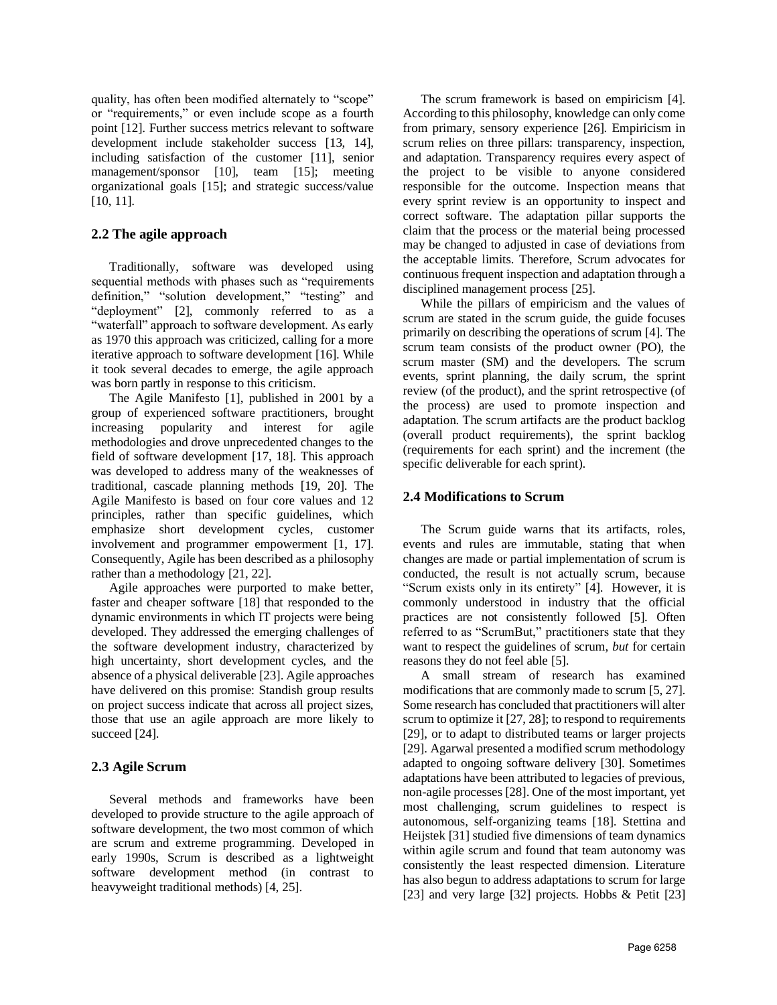quality, has often been modified alternately to "scope" or "requirements," or even include scope as a fourth point [12]. Further success metrics relevant to software development include stakeholder success [13, 14], including satisfaction of the customer [11], senior management/sponsor [10], team [15]; meeting organizational goals [15]; and strategic success/value [10, 11].

## **2.2 The agile approach**

Traditionally, software was developed using sequential methods with phases such as "requirements definition," "solution development," "testing" and "deployment" [2], commonly referred to as a "waterfall" approach to software development. As early as 1970 this approach was criticized, calling for a more iterative approach to software development [16]. While it took several decades to emerge, the agile approach was born partly in response to this criticism.

The Agile Manifesto [1], published in 2001 by a group of experienced software practitioners, brought increasing popularity and interest for agile methodologies and drove unprecedented changes to the field of software development [17, 18]. This approach was developed to address many of the weaknesses of traditional, cascade planning methods [19, 20]. The Agile Manifesto is based on four core values and 12 principles, rather than specific guidelines, which emphasize short development cycles, customer involvement and programmer empowerment [1, 17]. Consequently, Agile has been described as a philosophy rather than a methodology [21, 22].

Agile approaches were purported to make better, faster and cheaper software [18] that responded to the dynamic environments in which IT projects were being developed. They addressed the emerging challenges of the software development industry, characterized by high uncertainty, short development cycles, and the absence of a physical deliverable [23]. Agile approaches have delivered on this promise: Standish group results on project success indicate that across all project sizes, those that use an agile approach are more likely to succeed [24].

# **2.3 Agile Scrum**

Several methods and frameworks have been developed to provide structure to the agile approach of software development, the two most common of which are scrum and extreme programming. Developed in early 1990s, Scrum is described as a lightweight software development method (in contrast to heavyweight traditional methods) [4, 25].

The scrum framework is based on empiricism [4]. According to this philosophy, knowledge can only come from primary, sensory experience [26]. Empiricism in scrum relies on three pillars: transparency, inspection, and adaptation. Transparency requires every aspect of the project to be visible to anyone considered responsible for the outcome. Inspection means that every sprint review is an opportunity to inspect and correct software. The adaptation pillar supports the claim that the process or the material being processed may be changed to adjusted in case of deviations from the acceptable limits. Therefore, Scrum advocates for continuous frequent inspection and adaptation through a disciplined management process [25].

While the pillars of empiricism and the values of scrum are stated in the scrum guide, the guide focuses primarily on describing the operations of scrum [4]. The scrum team consists of the product owner (PO), the scrum master (SM) and the developers. The scrum events, sprint planning, the daily scrum, the sprint review (of the product), and the sprint retrospective (of the process) are used to promote inspection and adaptation. The scrum artifacts are the product backlog (overall product requirements), the sprint backlog (requirements for each sprint) and the increment (the specific deliverable for each sprint).

## **2.4 Modifications to Scrum**

The Scrum guide warns that its artifacts, roles, events and rules are immutable, stating that when changes are made or partial implementation of scrum is conducted, the result is not actually scrum, because "Scrum exists only in its entirety" [4]. However, it is commonly understood in industry that the official practices are not consistently followed [5]. Often referred to as "ScrumBut," practitioners state that they want to respect the guidelines of scrum, *but* for certain reasons they do not feel able [5].

A small stream of research has examined modifications that are commonly made to scrum [5, 27]. Some research has concluded that practitioners will alter scrum to optimize it [27, 28]; to respond to requirements [29], or to adapt to distributed teams or larger projects [29]. Agarwal presented a modified scrum methodology adapted to ongoing software delivery [30]. Sometimes adaptations have been attributed to legacies of previous, non-agile processes [28]. One of the most important, yet most challenging, scrum guidelines to respect is autonomous, self-organizing teams [18]. Stettina and Heijstek [31] studied five dimensions of team dynamics within agile scrum and found that team autonomy was consistently the least respected dimension. Literature has also begun to address adaptations to scrum for large [23] and very large [32] projects. Hobbs & Petit [23]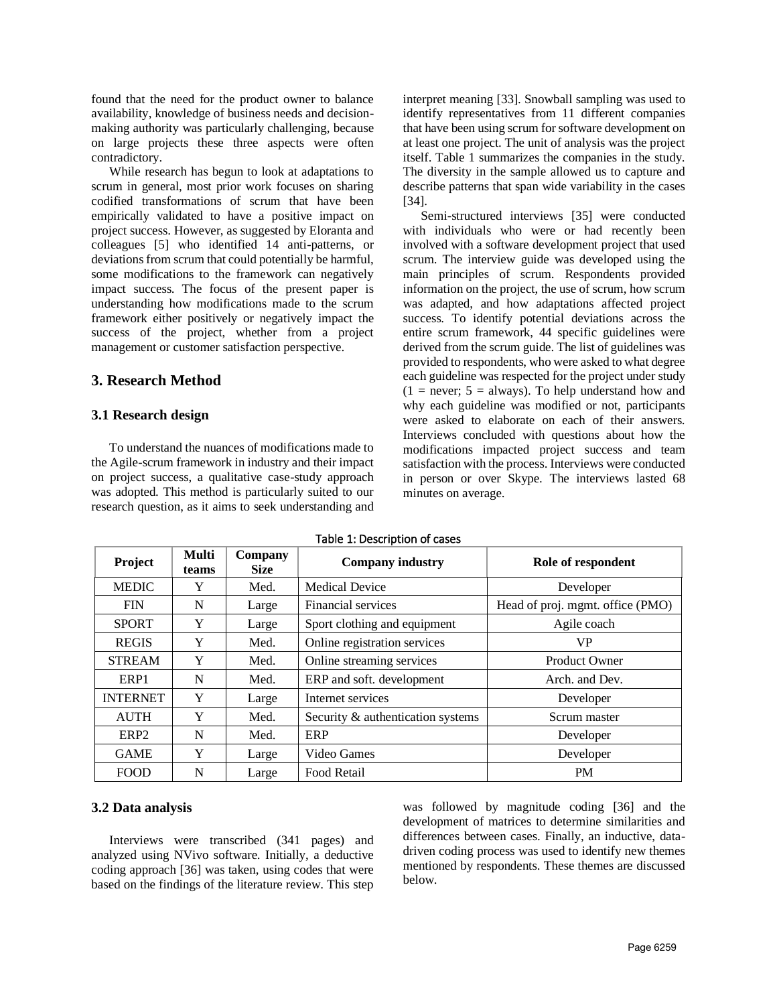found that the need for the product owner to balance availability, knowledge of business needs and decisionmaking authority was particularly challenging, because on large projects these three aspects were often contradictory.

While research has begun to look at adaptations to scrum in general, most prior work focuses on sharing codified transformations of scrum that have been empirically validated to have a positive impact on project success. However, as suggested by Eloranta and colleagues [5] who identified 14 anti-patterns, or deviations from scrum that could potentially be harmful, some modifications to the framework can negatively impact success. The focus of the present paper is understanding how modifications made to the scrum framework either positively or negatively impact the success of the project, whether from a project management or customer satisfaction perspective.

## **3. Research Method**

#### **3.1 Research design**

To understand the nuances of modifications made to the Agile-scrum framework in industry and their impact on project success, a qualitative case-study approach was adopted. This method is particularly suited to our research question, as it aims to seek understanding and interpret meaning [33]. Snowball sampling was used to identify representatives from 11 different companies that have been using scrum for software development on at least one project. The unit of analysis was the project itself. Table 1 summarizes the companies in the study. The diversity in the sample allowed us to capture and describe patterns that span wide variability in the cases [34].

Semi-structured interviews [35] were conducted with individuals who were or had recently been involved with a software development project that used scrum. The interview guide was developed using the main principles of scrum. Respondents provided information on the project, the use of scrum, how scrum was adapted, and how adaptations affected project success. To identify potential deviations across the entire scrum framework, 44 specific guidelines were derived from the scrum guide. The list of guidelines was provided to respondents, who were asked to what degree each guideline was respected for the project under study  $(1 = never; 5 = always)$ . To help understand how and why each guideline was modified or not, participants were asked to elaborate on each of their answers. Interviews concluded with questions about how the modifications impacted project success and team satisfaction with the process. Interviews were conducted in person or over Skype. The interviews lasted 68 minutes on average.

| Project          | Multi<br>teams | Company<br><b>Size</b> | <b>Company industry</b>           | Role of respondent               |
|------------------|----------------|------------------------|-----------------------------------|----------------------------------|
| <b>MEDIC</b>     | Y              | Med.                   | <b>Medical Device</b>             | Developer                        |
| <b>FIN</b>       | N              | Large                  | Financial services                | Head of proj. mgmt. office (PMO) |
| <b>SPORT</b>     | Y              | Large                  | Sport clothing and equipment      | Agile coach                      |
| <b>REGIS</b>     | Y              | Med.                   | Online registration services      | <b>VP</b>                        |
| <b>STREAM</b>    | Y              | Med.                   | Online streaming services         | <b>Product Owner</b>             |
| ERP1             | N              | Med.                   | ERP and soft. development         | Arch. and Dev.                   |
| <b>INTERNET</b>  | Y              | Large                  | Internet services                 | Developer                        |
| <b>AUTH</b>      | Y              | Med.                   | Security & authentication systems | Scrum master                     |
| ERP <sub>2</sub> | N              | Med.                   | ERP                               | Developer                        |
| <b>GAME</b>      | Y              | Large                  | Video Games                       | Developer                        |
| <b>FOOD</b>      | N              | Large                  | Food Retail                       | <b>PM</b>                        |

#### Table 1: Description of cases

#### **3.2 Data analysis**

Interviews were transcribed (341 pages) and analyzed using NVivo software. Initially, a deductive coding approach [36] was taken, using codes that were based on the findings of the literature review. This step

was followed by magnitude coding [36] and the development of matrices to determine similarities and differences between cases. Finally, an inductive, datadriven coding process was used to identify new themes mentioned by respondents. These themes are discussed below.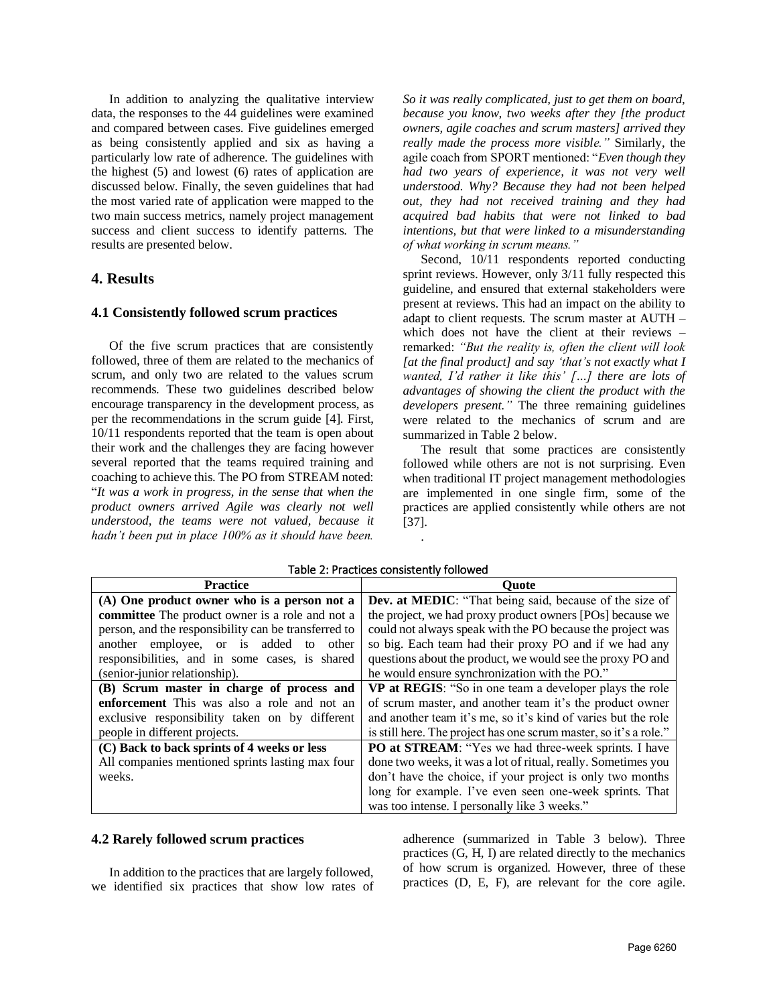In addition to analyzing the qualitative interview data, the responses to the 44 guidelines were examined and compared between cases. Five guidelines emerged as being consistently applied and six as having a particularly low rate of adherence. The guidelines with the highest (5) and lowest (6) rates of application are discussed below. Finally, the seven guidelines that had the most varied rate of application were mapped to the two main success metrics, namely project management success and client success to identify patterns. The results are presented below.

## **4. Results**

#### **4.1 Consistently followed scrum practices**

Of the five scrum practices that are consistently followed, three of them are related to the mechanics of scrum, and only two are related to the values scrum recommends. These two guidelines described below encourage transparency in the development process, as per the recommendations in the scrum guide [4]. First, 10/11 respondents reported that the team is open about their work and the challenges they are facing however several reported that the teams required training and coaching to achieve this. The PO from STREAM noted: "*It was a work in progress, in the sense that when the product owners arrived Agile was clearly not well understood, the teams were not valued, because it hadn't been put in place 100% as it should have been.* 

*So it was really complicated, just to get them on board, because you know, two weeks after they [the product owners, agile coaches and scrum masters] arrived they really made the process more visible."* Similarly, the agile coach from SPORT mentioned: "*Even though they had two years of experience, it was not very well understood. Why? Because they had not been helped out, they had not received training and they had acquired bad habits that were not linked to bad intentions, but that were linked to a misunderstanding of what working in scrum means."*

Second,  $10/11$  respondents reported conducting sprint reviews. However, only 3/11 fully respected this guideline, and ensured that external stakeholders were present at reviews. This had an impact on the ability to adapt to client requests. The scrum master at AUTH – which does not have the client at their reviews – remarked: *"But the reality is, often the client will look [at the final product] and say 'that's not exactly what I wanted, I'd rather it like this' […] there are lots of advantages of showing the client the product with the developers present."* The three remaining guidelines were related to the mechanics of scrum and are summarized in Table 2 below.

The result that some practices are consistently followed while others are not is not surprising. Even when traditional IT project management methodologies are implemented in one single firm, some of the practices are applied consistently while others are not [37].

| <b>Practice</b>                                      | Ouote                                                             |
|------------------------------------------------------|-------------------------------------------------------------------|
| (A) One product owner who is a person not a          | Dev. at MEDIC: "That being said, because of the size of           |
| committee The product owner is a role and not a      | the project, we had proxy product owners [POs] because we         |
| person, and the responsibility can be transferred to | could not always speak with the PO because the project was        |
| another employee, or is added<br>to<br>other         | so big. Each team had their proxy PO and if we had any            |
| responsibilities, and in some cases, is shared       | questions about the product, we would see the proxy PO and        |
| (senior-junior relationship).                        | he would ensure synchronization with the PO."                     |
| (B) Scrum master in charge of process and            | VP at REGIS: "So in one team a developer plays the role           |
| <b>enforcement</b> This was also a role and not an   | of scrum master, and another team it's the product owner          |
| exclusive responsibility taken on by different       | and another team it's me, so it's kind of varies but the role     |
| people in different projects.                        | is still here. The project has one scrum master, so it's a role." |
| (C) Back to back sprints of 4 weeks or less          | PO at STREAM: "Yes we had three-week sprints. I have              |
| All companies mentioned sprints lasting max four     | done two weeks, it was a lot of ritual, really. Sometimes you     |
| weeks.                                               | don't have the choice, if your project is only two months         |
|                                                      | long for example. I've even seen one-week sprints. That           |
|                                                      | was too intense. I personally like 3 weeks."                      |

Table 2: Practices consistently followed

.

#### **4.2 Rarely followed scrum practices**

In addition to the practices that are largely followed, we identified six practices that show low rates of adherence (summarized in Table 3 below). Three practices (G, H, I) are related directly to the mechanics of how scrum is organized. However, three of these practices (D, E, F), are relevant for the core agile.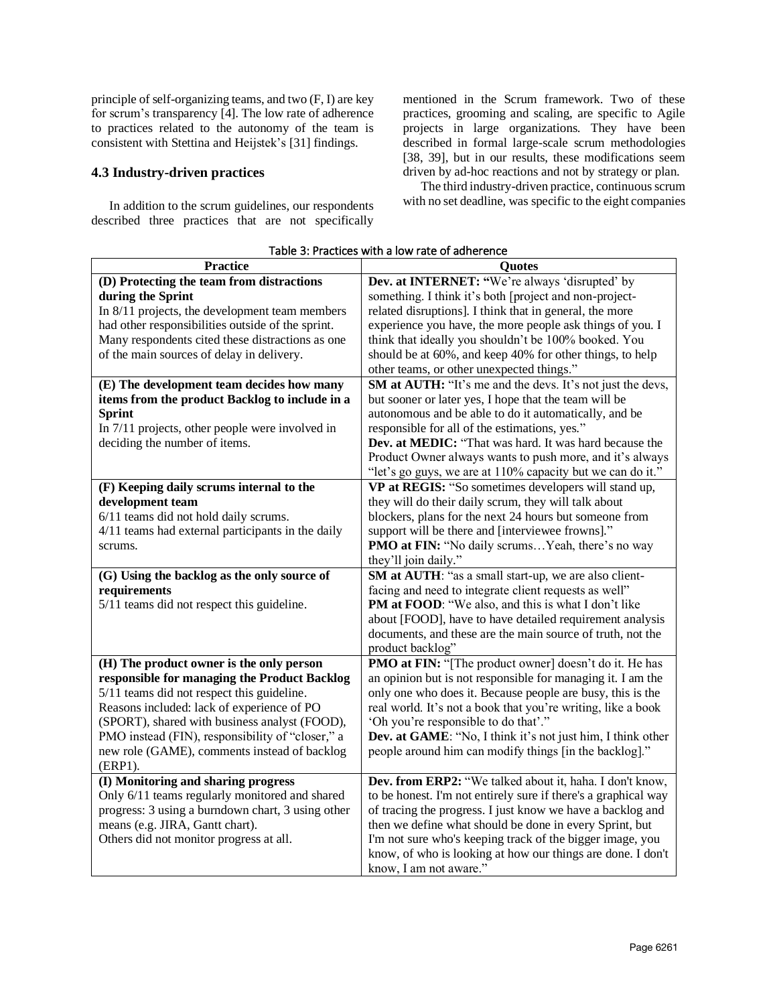principle of self-organizing teams, and two (F, I) are key for scrum's transparency [4]. The low rate of adherence to practices related to the autonomy of the team is consistent with Stettina and Heijstek's [31] findings.

## **4.3 Industry-driven practices**

In addition to the scrum guidelines, our respondents described three practices that are not specifically mentioned in the Scrum framework. Two of these practices, grooming and scaling, are specific to Agile projects in large organizations. They have been described in formal large-scale scrum methodologies [38, 39], but in our results, these modifications seem driven by ad-hoc reactions and not by strategy or plan.

The third industry-driven practice, continuous scrum with no set deadline, was specific to the eight companies

| <b>Practice</b>                                   | Quotes                                                         |
|---------------------------------------------------|----------------------------------------------------------------|
| (D) Protecting the team from distractions         | Dev. at INTERNET: "We're always 'disrupted' by                 |
| during the Sprint                                 | something. I think it's both [project and non-project-         |
| In 8/11 projects, the development team members    | related disruptions]. I think that in general, the more        |
| had other responsibilities outside of the sprint. | experience you have, the more people ask things of you. I      |
| Many respondents cited these distractions as one  | think that ideally you shouldn't be 100% booked. You           |
| of the main sources of delay in delivery.         | should be at 60%, and keep 40% for other things, to help       |
|                                                   | other teams, or other unexpected things."                      |
| (E) The development team decides how many         | SM at AUTH: "It's me and the devs. It's not just the devs,     |
| items from the product Backlog to include in a    | but sooner or later yes, I hope that the team will be          |
| <b>Sprint</b>                                     | autonomous and be able to do it automatically, and be          |
| In 7/11 projects, other people were involved in   | responsible for all of the estimations, yes."                  |
| deciding the number of items.                     | Dev. at MEDIC: "That was hard. It was hard because the         |
|                                                   | Product Owner always wants to push more, and it's always       |
|                                                   | "let's go guys, we are at 110% capacity but we can do it."     |
| (F) Keeping daily scrums internal to the          | VP at REGIS: "So sometimes developers will stand up,           |
| development team                                  | they will do their daily scrum, they will talk about           |
| 6/11 teams did not hold daily scrums.             | blockers, plans for the next 24 hours but someone from         |
| 4/11 teams had external participants in the daily | support will be there and [interviewee frowns]."               |
| scrums.                                           | <b>PMO at FIN:</b> "No daily scrumsYeah, there's no way        |
|                                                   | they'll join daily."                                           |
| (G) Using the backlog as the only source of       | SM at AUTH: "as a small start-up, we are also client-          |
| requirements                                      | facing and need to integrate client requests as well"          |
| 5/11 teams did not respect this guideline.        | PM at FOOD: "We also, and this is what I don't like            |
|                                                   | about [FOOD], have to have detailed requirement analysis       |
|                                                   | documents, and these are the main source of truth, not the     |
|                                                   | product backlog"                                               |
| (H) The product owner is the only person          | PMO at FIN: "[The product owner] doesn't do it. He has         |
| responsible for managing the Product Backlog      | an opinion but is not responsible for managing it. I am the    |
| 5/11 teams did not respect this guideline.        | only one who does it. Because people are busy, this is the     |
| Reasons included: lack of experience of PO        | real world. It's not a book that you're writing, like a book   |
| (SPORT), shared with business analyst (FOOD),     | 'Oh you're responsible to do that'."                           |
| PMO instead (FIN), responsibility of "closer," a  | Dev. at GAME: "No, I think it's not just him, I think other    |
| new role (GAME), comments instead of backlog      | people around him can modify things [in the backlog]."         |
| (ERP1).                                           |                                                                |
| (I) Monitoring and sharing progress               | Dev. from ERP2: "We talked about it, haha. I don't know,       |
| Only 6/11 teams regularly monitored and shared    | to be honest. I'm not entirely sure if there's a graphical way |
| progress: 3 using a burndown chart, 3 using other | of tracing the progress. I just know we have a backlog and     |
| means (e.g. JIRA, Gantt chart).                   | then we define what should be done in every Sprint, but        |
| Others did not monitor progress at all.           | I'm not sure who's keeping track of the bigger image, you      |
|                                                   | know, of who is looking at how our things are done. I don't    |
|                                                   | know, I am not aware."                                         |

## Table 3: Practices with a low rate of adherence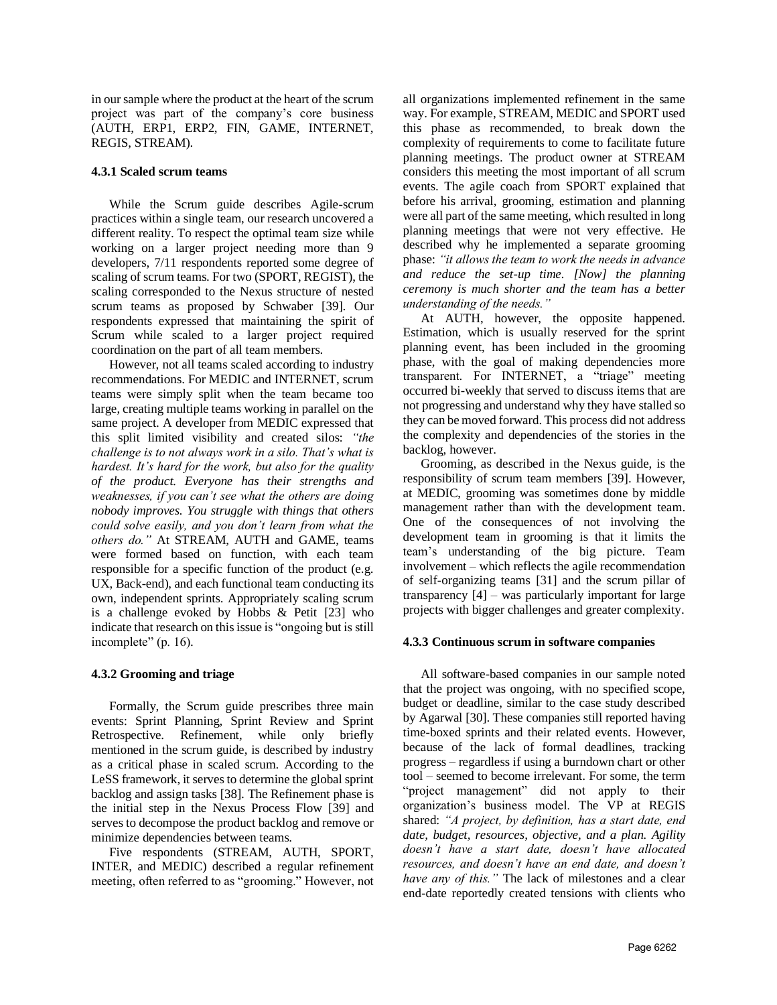in our sample where the product at the heart of the scrum project was part of the company's core business (AUTH, ERP1, ERP2, FIN, GAME, INTERNET, REGIS, STREAM).

#### **4.3.1 Scaled scrum teams**

While the Scrum guide describes Agile-scrum practices within a single team, our research uncovered a different reality. To respect the optimal team size while working on a larger project needing more than 9 developers, 7/11 respondents reported some degree of scaling of scrum teams. For two (SPORT, REGIST), the scaling corresponded to the Nexus structure of nested scrum teams as proposed by Schwaber [39]. Our respondents expressed that maintaining the spirit of Scrum while scaled to a larger project required coordination on the part of all team members.

However, not all teams scaled according to industry recommendations. For MEDIC and INTERNET, scrum teams were simply split when the team became too large, creating multiple teams working in parallel on the same project. A developer from MEDIC expressed that this split limited visibility and created silos: *"the challenge is to not always work in a silo. That's what is hardest. It's hard for the work, but also for the quality of the product. Everyone has their strengths and weaknesses, if you can't see what the others are doing nobody improves. You struggle with things that others could solve easily, and you don't learn from what the others do."* At STREAM, AUTH and GAME, teams were formed based on function, with each team responsible for a specific function of the product (e.g. UX, Back-end), and each functional team conducting its own, independent sprints. Appropriately scaling scrum is a challenge evoked by Hobbs & Petit [23] who indicate that research on this issue is "ongoing but is still incomplete" (p. 16).

### **4.3.2 Grooming and triage**

Formally, the Scrum guide prescribes three main events: Sprint Planning, Sprint Review and Sprint Retrospective. Refinement, while only briefly mentioned in the scrum guide, is described by industry as a critical phase in scaled scrum. According to the LeSS framework, it serves to determine the global sprint backlog and assign tasks [38]. The Refinement phase is the initial step in the Nexus Process Flow [39] and serves to decompose the product backlog and remove or minimize dependencies between teams.

Five respondents (STREAM, AUTH, SPORT, INTER, and MEDIC) described a regular refinement meeting, often referred to as "grooming." However, not

all organizations implemented refinement in the same way. For example, STREAM, MEDIC and SPORT used this phase as recommended, to break down the complexity of requirements to come to facilitate future planning meetings. The product owner at STREAM considers this meeting the most important of all scrum events. The agile coach from SPORT explained that before his arrival, grooming, estimation and planning were all part of the same meeting, which resulted in long planning meetings that were not very effective. He described why he implemented a separate grooming phase: *"it allows the team to work the needs in advance and reduce the set-up time. [Now] the planning ceremony is much shorter and the team has a better understanding of the needs."*

At AUTH, however, the opposite happened. Estimation, which is usually reserved for the sprint planning event, has been included in the grooming phase, with the goal of making dependencies more transparent. For INTERNET, a "triage" meeting occurred bi-weekly that served to discuss items that are not progressing and understand why they have stalled so they can be moved forward. This process did not address the complexity and dependencies of the stories in the backlog, however.

Grooming, as described in the Nexus guide, is the responsibility of scrum team members [39]. However, at MEDIC, grooming was sometimes done by middle management rather than with the development team. One of the consequences of not involving the development team in grooming is that it limits the team's understanding of the big picture. Team involvement – which reflects the agile recommendation of self-organizing teams [31] and the scrum pillar of transparency [4] – was particularly important for large projects with bigger challenges and greater complexity.

#### **4.3.3 Continuous scrum in software companies**

All software-based companies in our sample noted that the project was ongoing, with no specified scope, budget or deadline, similar to the case study described by Agarwal [30]. These companies still reported having time-boxed sprints and their related events. However, because of the lack of formal deadlines, tracking progress – regardless if using a burndown chart or other tool – seemed to become irrelevant. For some, the term "project management" did not apply to their organization's business model. The VP at REGIS shared: *"A project, by definition, has a start date, end date, budget, resources, objective, and a plan. Agility doesn't have a start date, doesn't have allocated resources, and doesn't have an end date, and doesn't have any of this."* The lack of milestones and a clear end-date reportedly created tensions with clients who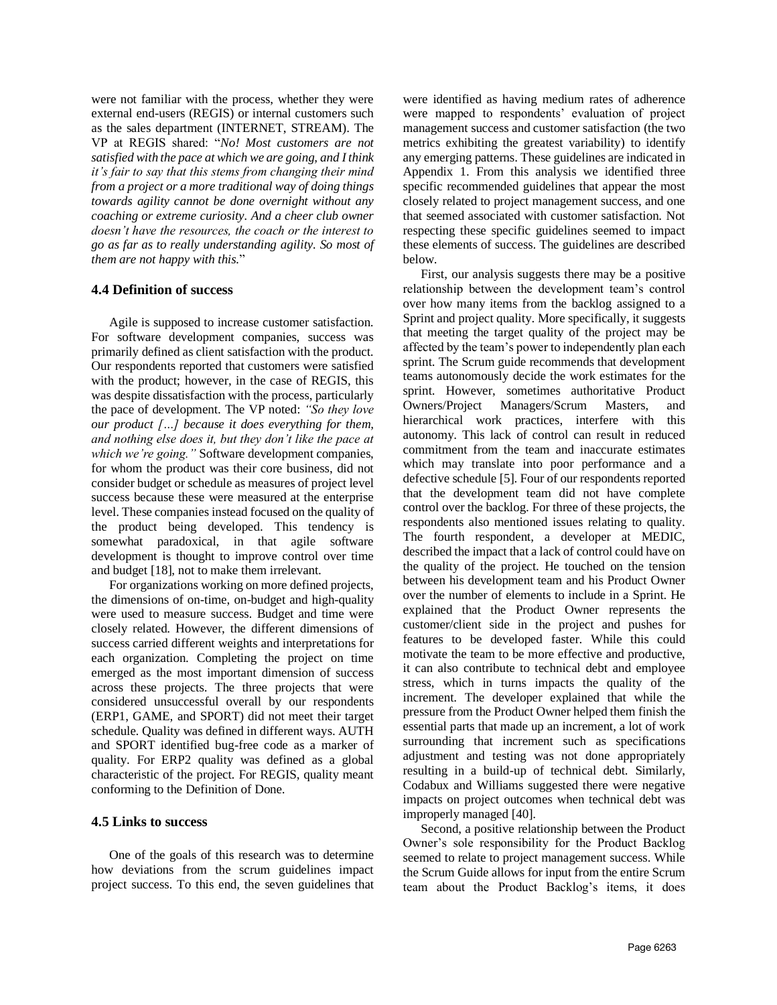were not familiar with the process, whether they were external end-users (REGIS) or internal customers such as the sales department (INTERNET, STREAM). The VP at REGIS shared: "*No! Most customers are not satisfied with the pace at which we are going, and I think it's fair to say that this stems from changing their mind from a project or a more traditional way of doing things towards agility cannot be done overnight without any coaching or extreme curiosity. And a cheer club owner doesn't have the resources, the coach or the interest to go as far as to really understanding agility. So most of them are not happy with this.*"

#### **4.4 Definition of success**

Agile is supposed to increase customer satisfaction. For software development companies, success was primarily defined as client satisfaction with the product. Our respondents reported that customers were satisfied with the product; however, in the case of REGIS, this was despite dissatisfaction with the process, particularly the pace of development. The VP noted: *"So they love our product […] because it does everything for them, and nothing else does it, but they don't like the pace at which we're going."* Software development companies, for whom the product was their core business, did not consider budget or schedule as measures of project level success because these were measured at the enterprise level. These companies instead focused on the quality of the product being developed. This tendency is somewhat paradoxical, in that agile software development is thought to improve control over time and budget [18], not to make them irrelevant.

For organizations working on more defined projects, the dimensions of on-time, on-budget and high-quality were used to measure success. Budget and time were closely related. However, the different dimensions of success carried different weights and interpretations for each organization. Completing the project on time emerged as the most important dimension of success across these projects. The three projects that were considered unsuccessful overall by our respondents (ERP1, GAME, and SPORT) did not meet their target schedule. Quality was defined in different ways. AUTH and SPORT identified bug-free code as a marker of quality. For ERP2 quality was defined as a global characteristic of the project. For REGIS, quality meant conforming to the Definition of Done.

#### **4.5 Links to success**

One of the goals of this research was to determine how deviations from the scrum guidelines impact project success. To this end, the seven guidelines that were identified as having medium rates of adherence were mapped to respondents' evaluation of project management success and customer satisfaction (the two metrics exhibiting the greatest variability) to identify any emerging patterns. These guidelines are indicated in Appendix 1. From this analysis we identified three specific recommended guidelines that appear the most closely related to project management success, and one that seemed associated with customer satisfaction. Not respecting these specific guidelines seemed to impact these elements of success. The guidelines are described below.

First, our analysis suggests there may be a positive relationship between the development team's control over how many items from the backlog assigned to a Sprint and project quality. More specifically, it suggests that meeting the target quality of the project may be affected by the team's power to independently plan each sprint. The Scrum guide recommends that development teams autonomously decide the work estimates for the sprint. However, sometimes authoritative Product Owners/Project Managers/Scrum Masters, and hierarchical work practices, interfere with this autonomy. This lack of control can result in reduced commitment from the team and inaccurate estimates which may translate into poor performance and a defective schedule [5]. Four of our respondents reported that the development team did not have complete control over the backlog. For three of these projects, the respondents also mentioned issues relating to quality. The fourth respondent, a developer at MEDIC, described the impact that a lack of control could have on the quality of the project. He touched on the tension between his development team and his Product Owner over the number of elements to include in a Sprint. He explained that the Product Owner represents the customer/client side in the project and pushes for features to be developed faster. While this could motivate the team to be more effective and productive, it can also contribute to technical debt and employee stress, which in turns impacts the quality of the increment. The developer explained that while the pressure from the Product Owner helped them finish the essential parts that made up an increment, a lot of work surrounding that increment such as specifications adjustment and testing was not done appropriately resulting in a build-up of technical debt. Similarly, Codabux and Williams suggested there were negative impacts on project outcomes when technical debt was improperly managed [40].

Second, a positive relationship between the Product Owner's sole responsibility for the Product Backlog seemed to relate to project management success. While the Scrum Guide allows for input from the entire Scrum team about the Product Backlog's items, it does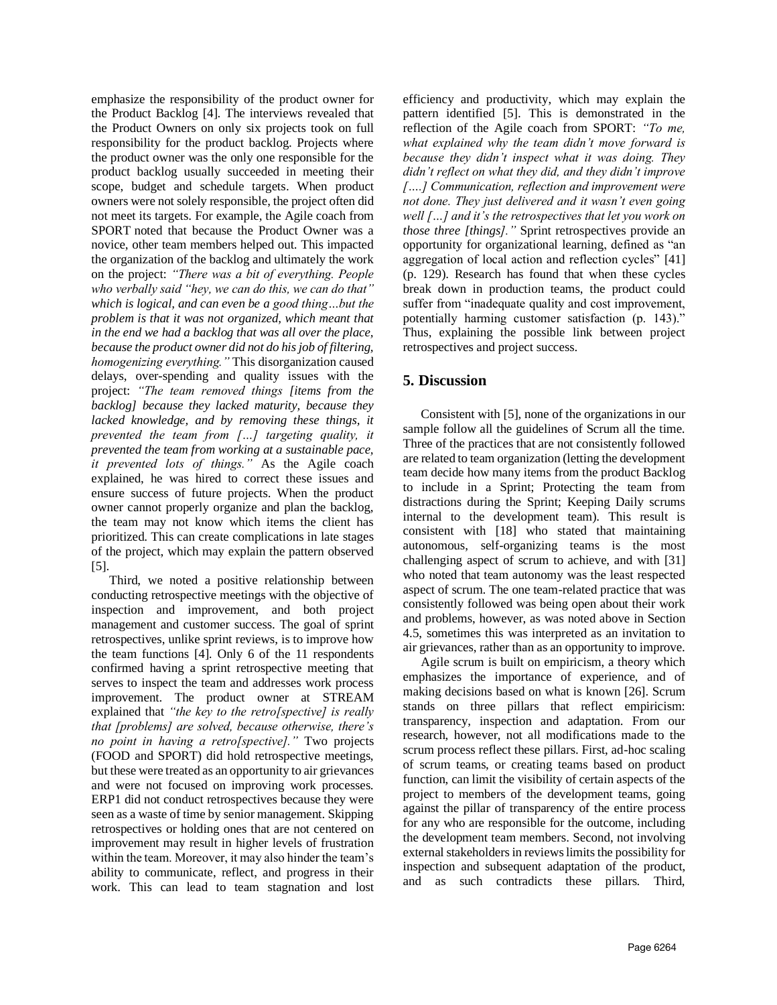emphasize the responsibility of the product owner for the Product Backlog [4]. The interviews revealed that the Product Owners on only six projects took on full responsibility for the product backlog. Projects where the product owner was the only one responsible for the product backlog usually succeeded in meeting their scope, budget and schedule targets. When product owners were not solely responsible, the project often did not meet its targets. For example, the Agile coach from SPORT noted that because the Product Owner was a novice, other team members helped out. This impacted the organization of the backlog and ultimately the work on the project: *"There was a bit of everything. People who verbally said "hey, we can do this, we can do that" which is logical, and can even be a good thing…but the problem is that it was not organized, which meant that in the end we had a backlog that was all over the place, because the product owner did not do his job of filtering, homogenizing everything."* This disorganization caused delays, over-spending and quality issues with the project: *"The team removed things [items from the backlog] because they lacked maturity, because they lacked knowledge, and by removing these things, it prevented the team from […] targeting quality, it prevented the team from working at a sustainable pace, it prevented lots of things."* As the Agile coach explained, he was hired to correct these issues and ensure success of future projects. When the product owner cannot properly organize and plan the backlog, the team may not know which items the client has prioritized. This can create complications in late stages of the project, which may explain the pattern observed [5].

Third, we noted a positive relationship between conducting retrospective meetings with the objective of inspection and improvement, and both project management and customer success. The goal of sprint retrospectives, unlike sprint reviews, is to improve how the team functions [4]. Only 6 of the 11 respondents confirmed having a sprint retrospective meeting that serves to inspect the team and addresses work process improvement. The product owner at STREAM explained that *"the key to the retro[spective] is really that [problems] are solved, because otherwise, there's no point in having a retro[spective]."* Two projects (FOOD and SPORT) did hold retrospective meetings, but these were treated as an opportunity to air grievances and were not focused on improving work processes. ERP1 did not conduct retrospectives because they were seen as a waste of time by senior management. Skipping retrospectives or holding ones that are not centered on improvement may result in higher levels of frustration within the team. Moreover, it may also hinder the team's ability to communicate, reflect, and progress in their work. This can lead to team stagnation and lost

efficiency and productivity, which may explain the pattern identified [5]. This is demonstrated in the reflection of the Agile coach from SPORT: *"To me, what explained why the team didn't move forward is because they didn't inspect what it was doing. They didn't reflect on what they did, and they didn't improve [….] Communication, reflection and improvement were not done. They just delivered and it wasn't even going well […] and it's the retrospectives that let you work on those three [things]."* Sprint retrospectives provide an opportunity for organizational learning, defined as "an aggregation of local action and reflection cycles" [41] (p. 129). Research has found that when these cycles break down in production teams, the product could suffer from "inadequate quality and cost improvement, potentially harming customer satisfaction (p. 143)." Thus, explaining the possible link between project retrospectives and project success.

# **5. Discussion**

Consistent with [5], none of the organizations in our sample follow all the guidelines of Scrum all the time. Three of the practices that are not consistently followed are related to team organization (letting the development team decide how many items from the product Backlog to include in a Sprint; Protecting the team from distractions during the Sprint; Keeping Daily scrums internal to the development team). This result is consistent with [18] who stated that maintaining autonomous, self-organizing teams is the most challenging aspect of scrum to achieve, and with [31] who noted that team autonomy was the least respected aspect of scrum. The one team-related practice that was consistently followed was being open about their work and problems, however, as was noted above in Section 4.5, sometimes this was interpreted as an invitation to air grievances, rather than as an opportunity to improve.

Agile scrum is built on empiricism, a theory which emphasizes the importance of experience, and of making decisions based on what is known [26]. Scrum stands on three pillars that reflect empiricism: transparency, inspection and adaptation. From our research, however, not all modifications made to the scrum process reflect these pillars. First, ad-hoc scaling of scrum teams, or creating teams based on product function, can limit the visibility of certain aspects of the project to members of the development teams, going against the pillar of transparency of the entire process for any who are responsible for the outcome, including the development team members. Second, not involving external stakeholders in reviews limits the possibility for inspection and subsequent adaptation of the product, and as such contradicts these pillars. Third,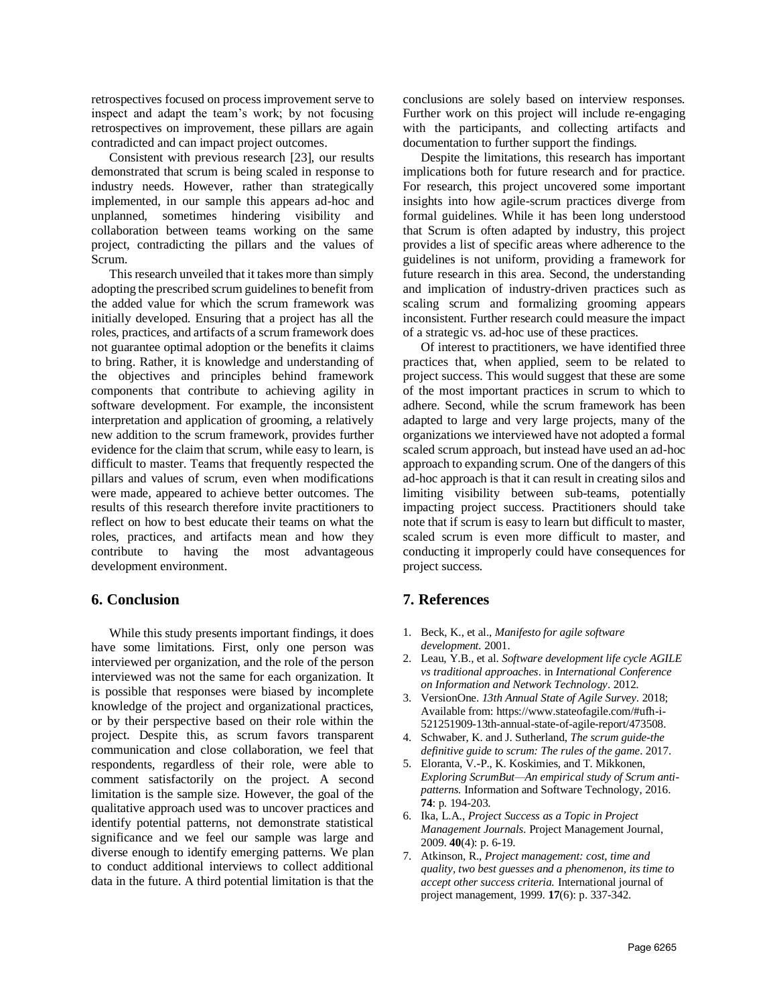retrospectives focused on process improvement serve to inspect and adapt the team's work; by not focusing retrospectives on improvement, these pillars are again contradicted and can impact project outcomes.

Consistent with previous research [23], our results demonstrated that scrum is being scaled in response to industry needs. However, rather than strategically implemented, in our sample this appears ad-hoc and unplanned, sometimes hindering visibility and collaboration between teams working on the same project, contradicting the pillars and the values of Scrum.

This research unveiled that it takes more than simply adopting the prescribed scrum guidelines to benefit from the added value for which the scrum framework was initially developed. Ensuring that a project has all the roles, practices, and artifacts of a scrum framework does not guarantee optimal adoption or the benefits it claims to bring. Rather, it is knowledge and understanding of the objectives and principles behind framework components that contribute to achieving agility in software development. For example, the inconsistent interpretation and application of grooming, a relatively new addition to the scrum framework, provides further evidence for the claim that scrum, while easy to learn, is difficult to master. Teams that frequently respected the pillars and values of scrum, even when modifications were made, appeared to achieve better outcomes. The results of this research therefore invite practitioners to reflect on how to best educate their teams on what the roles, practices, and artifacts mean and how they contribute to having the most advantageous development environment.

### **6. Conclusion**

While this study presents important findings, it does have some limitations. First, only one person was interviewed per organization, and the role of the person interviewed was not the same for each organization. It is possible that responses were biased by incomplete knowledge of the project and organizational practices, or by their perspective based on their role within the project. Despite this, as scrum favors transparent communication and close collaboration, we feel that respondents, regardless of their role, were able to comment satisfactorily on the project. A second limitation is the sample size. However, the goal of the qualitative approach used was to uncover practices and identify potential patterns, not demonstrate statistical significance and we feel our sample was large and diverse enough to identify emerging patterns. We plan to conduct additional interviews to collect additional data in the future. A third potential limitation is that the

conclusions are solely based on interview responses. Further work on this project will include re-engaging with the participants, and collecting artifacts and documentation to further support the findings.

Despite the limitations, this research has important implications both for future research and for practice. For research, this project uncovered some important insights into how agile-scrum practices diverge from formal guidelines. While it has been long understood that Scrum is often adapted by industry, this project provides a list of specific areas where adherence to the guidelines is not uniform, providing a framework for future research in this area. Second, the understanding and implication of industry-driven practices such as scaling scrum and formalizing grooming appears inconsistent. Further research could measure the impact of a strategic vs. ad-hoc use of these practices.

Of interest to practitioners, we have identified three practices that, when applied, seem to be related to project success. This would suggest that these are some of the most important practices in scrum to which to adhere. Second, while the scrum framework has been adapted to large and very large projects, many of the organizations we interviewed have not adopted a formal scaled scrum approach, but instead have used an ad-hoc approach to expanding scrum. One of the dangers of this ad-hoc approach is that it can result in creating silos and limiting visibility between sub-teams, potentially impacting project success. Practitioners should take note that if scrum is easy to learn but difficult to master, scaled scrum is even more difficult to master, and conducting it improperly could have consequences for project success.

# **7. References**

- 1. Beck, K., et al., *Manifesto for agile software development.* 2001.
- 2. Leau, Y.B., et al. *Software development life cycle AGILE vs traditional approaches*. in *International Conference on Information and Network Technology*. 2012.
- 3. VersionOne. *13th Annual State of Agile Survey*. 2018; Available from: https://www.stateofagile.com/#ufh-i-521251909-13th-annual-state-of-agile-report/473508.
- 4. Schwaber, K. and J. Sutherland, *The scrum guide-the definitive guide to scrum: The rules of the game*. 2017.
- 5. Eloranta, V.-P., K. Koskimies, and T. Mikkonen, *Exploring ScrumBut—An empirical study of Scrum antipatterns.* Information and Software Technology, 2016. **74**: p. 194-203.
- 6. Ika, L.A., *Project Success as a Topic in Project Management Journals.* Project Management Journal, 2009. **40**(4): p. 6-19.
- 7. Atkinson, R., *Project management: cost, time and quality, two best guesses and a phenomenon, its time to accept other success criteria.* International journal of project management, 1999. **17**(6): p. 337-342.